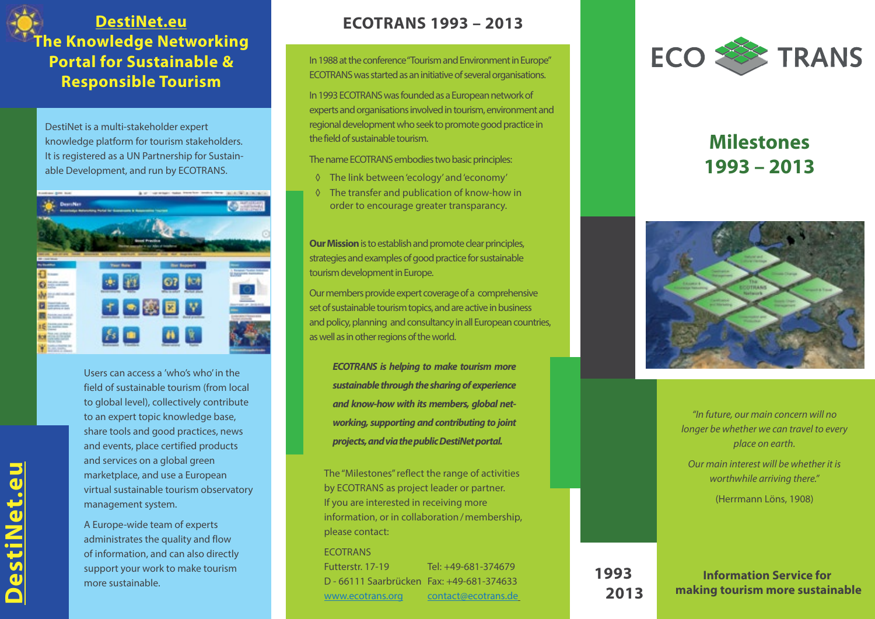## **[DestiNet.eu](http://destinet.eu) The Knowledge Networking Portal for Sustainable & Responsible Tourism**

DestiNet is a multi-stakeholder expert knowledge platform for tourism stakeholders. It is registered as a UN Partnership for Sustainable Development, and run by ECOTRANS.



Users can access a 'who's who' in the field of sustainable tourism (from local to global level), collectively contribute to an expert topic knowledge base, share tools and good practices, news and events, place certified products and services on a global green marketplace, and use a European virtual sustainable tourism observatory management system.

A Europe-wide team of experts administrates the quality and flow of information, and can also directly support your work to make tourism more sustainable.

## **ECOTRANS 1993 – 2013**

In 1988 at the conference "Tourism and Environment in Europe" ECOTRANS was started as an initiative of several organisations.

In 1993 ECOTRANS was founded as a European network of experts and organisations involved in tourism, environment and regional development who seek to promote good practice in the field of sustainable tourism.

The name ECOTRANS embodies two basic principles:

- ◊ The link between 'ecology' and 'economy'
- ◊ The transfer and publication of know-how in order to encourage greater transparancy.

**Our Mission** is to establish and promote clear principles, strategies and examples of good practice for sustainable tourism development in Europe.

Our members provide expert coverage of a comprehensive set of sustainable tourism topics, and are active in business and policy, planning and consultancy in all European countries, as well as in other regions of the world.

*ECOTRANS is helping to make tourism more sustainable through the sharing of experience and know-how with its members, global networking, supporting and contributing to joint projects, and via the public DestiNet portal.* 

The "Milestones" reflect the range of activities by ECOTRANS as project leader or partner. If you are interested in receiving more information, or in collaboration/membership, please contact:

## **ECOTRANS**

Futterstr. 17-19 Tel: +49-681-374679 D - 66111 Saarbrücken Fax: +49-681-374633 [www.ecotrans.org](http://www.ecotrans.org) [contact@ecotrans.de](mailto:contact@ecotrans.de)



## **Milestones 1993 – 2013**



*"In future, our main concern will no longer be whether we can travel to every place on earth.*

*Our main interest will be whether it is worthwhile arriving there."* (Herrmann Löns, 1908)

**Information Service for making tourism more sustainable 2013**

**1993**